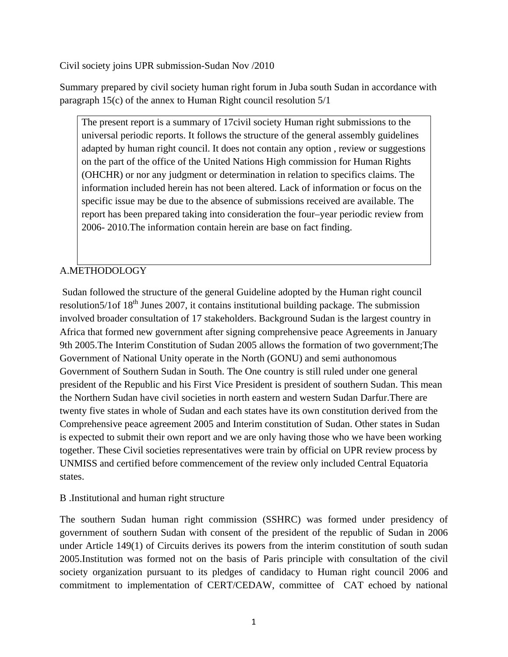Civil society joins UPR submission-Sudan Nov /2010

Summary prepared by civil society human right forum in Juba south Sudan in accordance with paragraph 15(c) of the annex to Human Right council resolution 5/1

The present report is a summary of 17civil society Human right submissions to the universal periodic reports. It follows the structure of the general assembly guidelines adapted by human right council. It does not contain any option , review or suggestions on the part of the office of the United Nations High commission for Human Rights (OHCHR) or nor any judgment or determination in relation to specifics claims. The information included herein has not been altered. Lack of information or focus on the specific issue may be due to the absence of submissions received are available. The report has been prepared taking into consideration the four–year periodic review from 2006- 2010.The information contain herein are base on fact finding.

# A.METHODOLOGY

 Sudan followed the structure of the general Guideline adopted by the Human right council resolution5/1of  $18<sup>th</sup>$  Junes 2007, it contains institutional building package. The submission involved broader consultation of 17 stakeholders. Background Sudan is the largest country in Africa that formed new government after signing comprehensive peace Agreements in January 9th 2005.The Interim Constitution of Sudan 2005 allows the formation of two government;The Government of National Unity operate in the North (GONU) and semi authonomous Government of Southern Sudan in South. The One country is still ruled under one general president of the Republic and his First Vice President is president of southern Sudan. This mean the Northern Sudan have civil societies in north eastern and western Sudan Darfur.There are twenty five states in whole of Sudan and each states have its own constitution derived from the Comprehensive peace agreement 2005 and Interim constitution of Sudan. Other states in Sudan is expected to submit their own report and we are only having those who we have been working together. These Civil societies representatives were train by official on UPR review process by UNMISS and certified before commencement of the review only included Central Equatoria states.

# B .Institutional and human right structure

The southern Sudan human right commission (SSHRC) was formed under presidency of government of southern Sudan with consent of the president of the republic of Sudan in 2006 under Article 149(1) of Circuits derives its powers from the interim constitution of south sudan 2005.Institution was formed not on the basis of Paris principle with consultation of the civil society organization pursuant to its pledges of candidacy to Human right council 2006 and commitment to implementation of CERT/CEDAW, committee of CAT echoed by national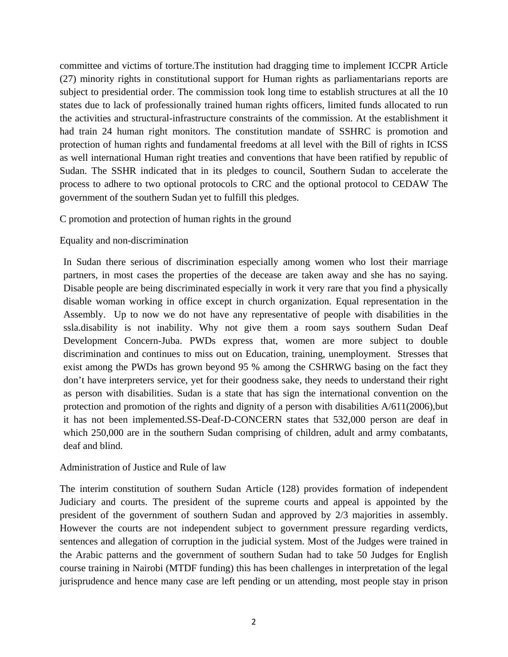committee and victims of torture.The institution had dragging time to implement ICCPR Article (27) minority rights in constitutional support for Human rights as parliamentarians reports are subject to presidential order. The commission took long time to establish structures at all the 10 states due to lack of professionally trained human rights officers, limited funds allocated to run the activities and structural-infrastructure constraints of the commission. At the establishment it had train 24 human right monitors. The constitution mandate of SSHRC is promotion and protection of human rights and fundamental freedoms at all level with the Bill of rights in ICSS as well international Human right treaties and conventions that have been ratified by republic of Sudan. The SSHR indicated that in its pledges to council, Southern Sudan to accelerate the process to adhere to two optional protocols to CRC and the optional protocol to CEDAW The government of the southern Sudan yet to fulfill this pledges.

## C promotion and protection of human rights in the ground

# Equality and non-discrimination

In Sudan there serious of discrimination especially among women who lost their marriage partners, in most cases the properties of the decease are taken away and she has no saying. Disable people are being discriminated especially in work it very rare that you find a physically disable woman working in office except in church organization. Equal representation in the Assembly. Up to now we do not have any representative of people with disabilities in the ssla.disability is not inability. Why not give them a room says southern Sudan Deaf Development Concern-Juba. PWDs express that, women are more subject to double discrimination and continues to miss out on Education, training, unemployment. Stresses that exist among the PWDs has grown beyond 95 % among the CSHRWG basing on the fact they don't have interpreters service, yet for their goodness sake, they needs to understand their right as person with disabilities. Sudan is a state that has sign the international convention on the protection and promotion of the rights and dignity of a person with disabilities A/611(2006),but it has not been implemented.SS-Deaf-D-CONCERN states that 532,000 person are deaf in which 250,000 are in the southern Sudan comprising of children, adult and army combatants, deaf and blind.

## Administration of Justice and Rule of law

The interim constitution of southern Sudan Article (128) provides formation of independent Judiciary and courts. The president of the supreme courts and appeal is appointed by the president of the government of southern Sudan and approved by 2/3 majorities in assembly. However the courts are not independent subject to government pressure regarding verdicts, sentences and allegation of corruption in the judicial system. Most of the Judges were trained in the Arabic patterns and the government of southern Sudan had to take 50 Judges for English course training in Nairobi (MTDF funding) this has been challenges in interpretation of the legal jurisprudence and hence many case are left pending or un attending, most people stay in prison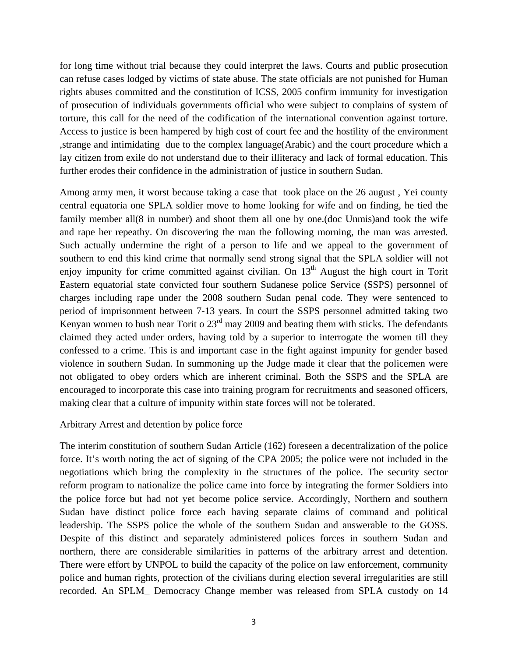for long time without trial because they could interpret the laws. Courts and public prosecution can refuse cases lodged by victims of state abuse. The state officials are not punished for Human rights abuses committed and the constitution of ICSS, 2005 confirm immunity for investigation of prosecution of individuals governments official who were subject to complains of system of torture, this call for the need of the codification of the international convention against torture. Access to justice is been hampered by high cost of court fee and the hostility of the environment ,strange and intimidating due to the complex language(Arabic) and the court procedure which a lay citizen from exile do not understand due to their illiteracy and lack of formal education. This further erodes their confidence in the administration of justice in southern Sudan.

Among army men, it worst because taking a case that took place on the 26 august , Yei county central equatoria one SPLA soldier move to home looking for wife and on finding, he tied the family member all(8 in number) and shoot them all one by one.(doc Unmis)and took the wife and rape her repeathy. On discovering the man the following morning, the man was arrested. Such actually undermine the right of a person to life and we appeal to the government of southern to end this kind crime that normally send strong signal that the SPLA soldier will not enjoy impunity for crime committed against civilian. On  $13<sup>th</sup>$  August the high court in Torit Eastern equatorial state convicted four southern Sudanese police Service (SSPS) personnel of charges including rape under the 2008 southern Sudan penal code. They were sentenced to period of imprisonment between 7-13 years. In court the SSPS personnel admitted taking two Kenyan women to bush near Torit o  $23<sup>rd</sup>$  may 2009 and beating them with sticks. The defendants claimed they acted under orders, having told by a superior to interrogate the women till they confessed to a crime. This is and important case in the fight against impunity for gender based violence in southern Sudan. In summoning up the Judge made it clear that the policemen were not obligated to obey orders which are inherent criminal. Both the SSPS and the SPLA are encouraged to incorporate this case into training program for recruitments and seasoned officers, making clear that a culture of impunity within state forces will not be tolerated.

## Arbitrary Arrest and detention by police force

The interim constitution of southern Sudan Article (162) foreseen a decentralization of the police force. It's worth noting the act of signing of the CPA 2005; the police were not included in the negotiations which bring the complexity in the structures of the police. The security sector reform program to nationalize the police came into force by integrating the former Soldiers into the police force but had not yet become police service. Accordingly, Northern and southern Sudan have distinct police force each having separate claims of command and political leadership. The SSPS police the whole of the southern Sudan and answerable to the GOSS. Despite of this distinct and separately administered polices forces in southern Sudan and northern, there are considerable similarities in patterns of the arbitrary arrest and detention. There were effort by UNPOL to build the capacity of the police on law enforcement, community police and human rights, protection of the civilians during election several irregularities are still recorded. An SPLM\_ Democracy Change member was released from SPLA custody on 14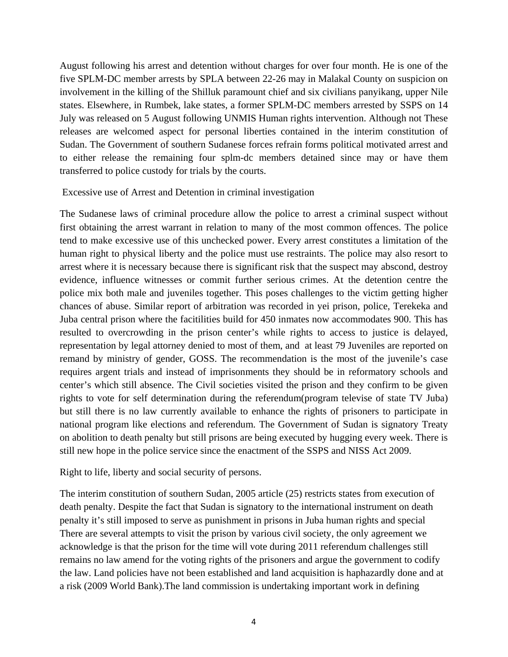August following his arrest and detention without charges for over four month. He is one of the five SPLM-DC member arrests by SPLA between 22-26 may in Malakal County on suspicion on involvement in the killing of the Shilluk paramount chief and six civilians panyikang, upper Nile states. Elsewhere, in Rumbek, lake states, a former SPLM-DC members arrested by SSPS on 14 July was released on 5 August following UNMIS Human rights intervention. Although not These releases are welcomed aspect for personal liberties contained in the interim constitution of Sudan. The Government of southern Sudanese forces refrain forms political motivated arrest and to either release the remaining four splm-dc members detained since may or have them transferred to police custody for trials by the courts.

#### Excessive use of Arrest and Detention in criminal investigation

The Sudanese laws of criminal procedure allow the police to arrest a criminal suspect without first obtaining the arrest warrant in relation to many of the most common offences. The police tend to make excessive use of this unchecked power. Every arrest constitutes a limitation of the human right to physical liberty and the police must use restraints. The police may also resort to arrest where it is necessary because there is significant risk that the suspect may abscond, destroy evidence, influence witnesses or commit further serious crimes. At the detention centre the police mix both male and juveniles together. This poses challenges to the victim getting higher chances of abuse. Similar report of arbitration was recorded in yei prison, police, Terekeka and Juba central prison where the facitilities build for 450 inmates now accommodates 900. This has resulted to overcrowding in the prison center's while rights to access to justice is delayed, representation by legal attorney denied to most of them, and at least 79 Juveniles are reported on remand by ministry of gender, GOSS. The recommendation is the most of the juvenile's case requires argent trials and instead of imprisonments they should be in reformatory schools and center's which still absence. The Civil societies visited the prison and they confirm to be given rights to vote for self determination during the referendum(program televise of state TV Juba) but still there is no law currently available to enhance the rights of prisoners to participate in national program like elections and referendum. The Government of Sudan is signatory Treaty on abolition to death penalty but still prisons are being executed by hugging every week. There is still new hope in the police service since the enactment of the SSPS and NISS Act 2009.

Right to life, liberty and social security of persons.

The interim constitution of southern Sudan, 2005 article (25) restricts states from execution of death penalty. Despite the fact that Sudan is signatory to the international instrument on death penalty it's still imposed to serve as punishment in prisons in Juba human rights and special There are several attempts to visit the prison by various civil society, the only agreement we acknowledge is that the prison for the time will vote during 2011 referendum challenges still remains no law amend for the voting rights of the prisoners and argue the government to codify the law. Land policies have not been established and land acquisition is haphazardly done and at a risk (2009 World Bank).The land commission is undertaking important work in defining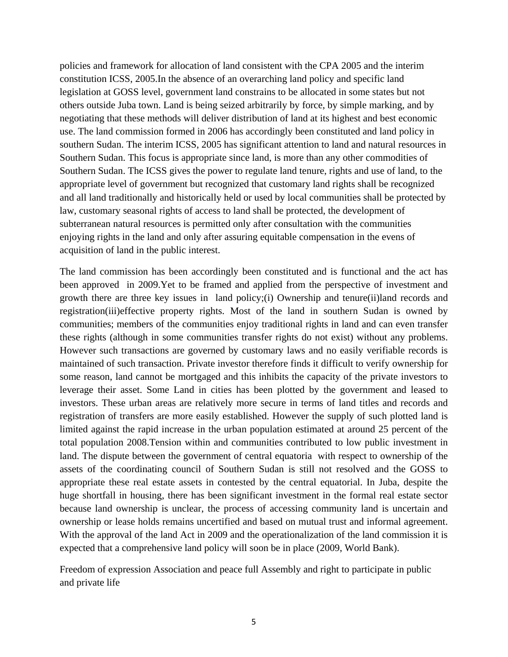policies and framework for allocation of land consistent with the CPA 2005 and the interim constitution ICSS, 2005.In the absence of an overarching land policy and specific land legislation at GOSS level, government land constrains to be allocated in some states but not others outside Juba town. Land is being seized arbitrarily by force, by simple marking, and by negotiating that these methods will deliver distribution of land at its highest and best economic use. The land commission formed in 2006 has accordingly been constituted and land policy in southern Sudan. The interim ICSS, 2005 has significant attention to land and natural resources in Southern Sudan. This focus is appropriate since land, is more than any other commodities of Southern Sudan. The ICSS gives the power to regulate land tenure, rights and use of land, to the appropriate level of government but recognized that customary land rights shall be recognized and all land traditionally and historically held or used by local communities shall be protected by law, customary seasonal rights of access to land shall be protected, the development of subterranean natural resources is permitted only after consultation with the communities enjoying rights in the land and only after assuring equitable compensation in the evens of acquisition of land in the public interest.

The land commission has been accordingly been constituted and is functional and the act has been approved in 2009.Yet to be framed and applied from the perspective of investment and growth there are three key issues in land policy;(i) Ownership and tenure(ii)land records and registration(iii)effective property rights. Most of the land in southern Sudan is owned by communities; members of the communities enjoy traditional rights in land and can even transfer these rights (although in some communities transfer rights do not exist) without any problems. However such transactions are governed by customary laws and no easily verifiable records is maintained of such transaction. Private investor therefore finds it difficult to verify ownership for some reason, land cannot be mortgaged and this inhibits the capacity of the private investors to leverage their asset. Some Land in cities has been plotted by the government and leased to investors. These urban areas are relatively more secure in terms of land titles and records and registration of transfers are more easily established. However the supply of such plotted land is limited against the rapid increase in the urban population estimated at around 25 percent of the total population 2008.Tension within and communities contributed to low public investment in land. The dispute between the government of central equatoria with respect to ownership of the assets of the coordinating council of Southern Sudan is still not resolved and the GOSS to appropriate these real estate assets in contested by the central equatorial. In Juba, despite the huge shortfall in housing, there has been significant investment in the formal real estate sector because land ownership is unclear, the process of accessing community land is uncertain and ownership or lease holds remains uncertified and based on mutual trust and informal agreement. With the approval of the land Act in 2009 and the operationalization of the land commission it is expected that a comprehensive land policy will soon be in place (2009, World Bank).

Freedom of expression Association and peace full Assembly and right to participate in public and private life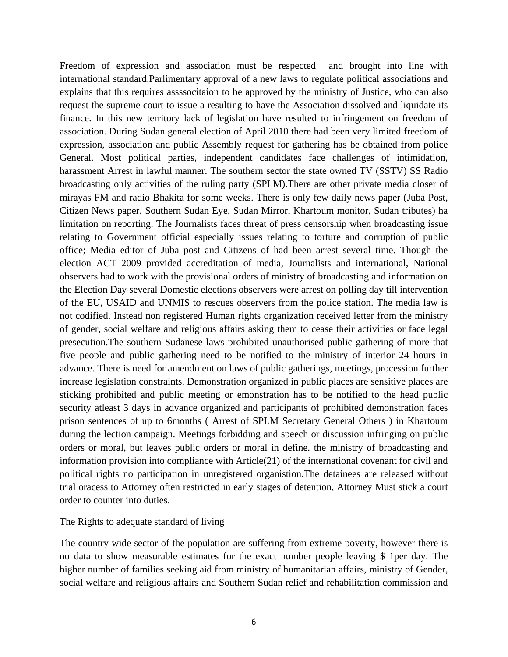Freedom of expression and association must be respected and brought into line with international standard.Parlimentary approval of a new laws to regulate political associations and explains that this requires assssocitaion to be approved by the ministry of Justice, who can also request the supreme court to issue a resulting to have the Association dissolved and liquidate its finance. In this new territory lack of legislation have resulted to infringement on freedom of association. During Sudan general election of April 2010 there had been very limited freedom of expression, association and public Assembly request for gathering has be obtained from police General. Most political parties, independent candidates face challenges of intimidation, harassment Arrest in lawful manner. The southern sector the state owned TV (SSTV) SS Radio broadcasting only activities of the ruling party (SPLM).There are other private media closer of mirayas FM and radio Bhakita for some weeks. There is only few daily news paper (Juba Post, Citizen News paper, Southern Sudan Eye, Sudan Mirror, Khartoum monitor, Sudan tributes) ha limitation on reporting. The Journalists faces threat of press censorship when broadcasting issue relating to Government official especially issues relating to torture and corruption of public office; Media editor of Juba post and Citizens of had been arrest several time. Though the election ACT 2009 provided accreditation of media, Journalists and international, National observers had to work with the provisional orders of ministry of broadcasting and information on the Election Day several Domestic elections observers were arrest on polling day till intervention of the EU, USAID and UNMIS to rescues observers from the police station. The media law is not codified. Instead non registered Human rights organization received letter from the ministry of gender, social welfare and religious affairs asking them to cease their activities or face legal presecution.The southern Sudanese laws prohibited unauthorised public gathering of more that five people and public gathering need to be notified to the ministry of interior 24 hours in advance. There is need for amendment on laws of public gatherings, meetings, procession further increase legislation constraints. Demonstration organized in public places are sensitive places are sticking prohibited and public meeting or emonstration has to be notified to the head public security atleast 3 days in advance organized and participants of prohibited demonstration faces prison sentences of up to 6months ( Arrest of SPLM Secretary General Others ) in Khartoum during the lection campaign. Meetings forbidding and speech or discussion infringing on public orders or moral, but leaves public orders or moral in define. the ministry of broadcasting and information provision into compliance with Article(21) of the international covenant for civil and political rights no participation in unregistered organistion.The detainees are released without trial oracess to Attorney often restricted in early stages of detention, Attorney Must stick a court order to counter into duties.

#### The Rights to adequate standard of living

The country wide sector of the population are suffering from extreme poverty, however there is no data to show measurable estimates for the exact number people leaving \$ 1per day. The higher number of families seeking aid from ministry of humanitarian affairs, ministry of Gender, social welfare and religious affairs and Southern Sudan relief and rehabilitation commission and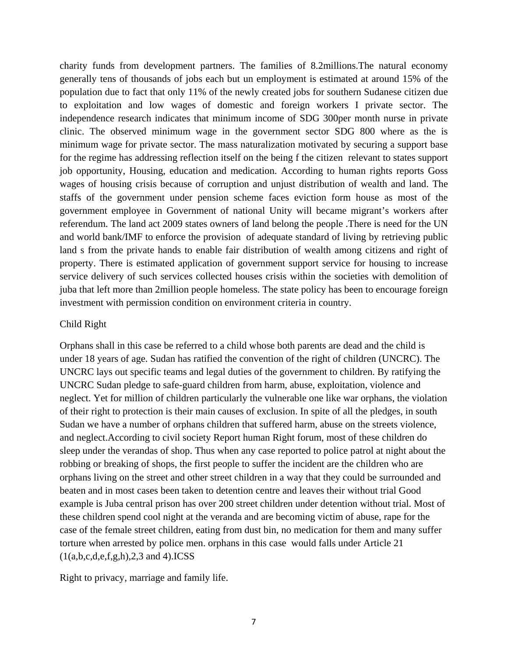charity funds from development partners. The families of 8.2millions.The natural economy generally tens of thousands of jobs each but un employment is estimated at around 15% of the population due to fact that only 11% of the newly created jobs for southern Sudanese citizen due to exploitation and low wages of domestic and foreign workers I private sector. The independence research indicates that minimum income of SDG 300per month nurse in private clinic. The observed minimum wage in the government sector SDG 800 where as the is minimum wage for private sector. The mass naturalization motivated by securing a support base for the regime has addressing reflection itself on the being f the citizen relevant to states support job opportunity, Housing, education and medication. According to human rights reports Goss wages of housing crisis because of corruption and unjust distribution of wealth and land. The staffs of the government under pension scheme faces eviction form house as most of the government employee in Government of national Unity will became migrant's workers after referendum. The land act 2009 states owners of land belong the people .There is need for the UN and world bank/IMF to enforce the provision of adequate standard of living by retrieving public land s from the private hands to enable fair distribution of wealth among citizens and right of property. There is estimated application of government support service for housing to increase service delivery of such services collected houses crisis within the societies with demolition of juba that left more than 2million people homeless. The state policy has been to encourage foreign investment with permission condition on environment criteria in country.

### Child Right

Orphans shall in this case be referred to a child whose both parents are dead and the child is under 18 years of age. Sudan has ratified the convention of the right of children (UNCRC). The UNCRC lays out specific teams and legal duties of the government to children. By ratifying the UNCRC Sudan pledge to safe-guard children from harm, abuse, exploitation, violence and neglect. Yet for million of children particularly the vulnerable one like war orphans, the violation of their right to protection is their main causes of exclusion. In spite of all the pledges, in south Sudan we have a number of orphans children that suffered harm, abuse on the streets violence, and neglect.According to civil society Report human Right forum, most of these children do sleep under the verandas of shop. Thus when any case reported to police patrol at night about the robbing or breaking of shops, the first people to suffer the incident are the children who are orphans living on the street and other street children in a way that they could be surrounded and beaten and in most cases been taken to detention centre and leaves their without trial Good example is Juba central prison has over 200 street children under detention without trial. Most of these children spend cool night at the veranda and are becoming victim of abuse, rape for the case of the female street children, eating from dust bin, no medication for them and many suffer torture when arrested by police men. orphans in this case would falls under Article 21  $(1(a,b,c,d,e,f,g,h),2,3 \text{ and } 4)$ . **ICSS** 

Right to privacy, marriage and family life.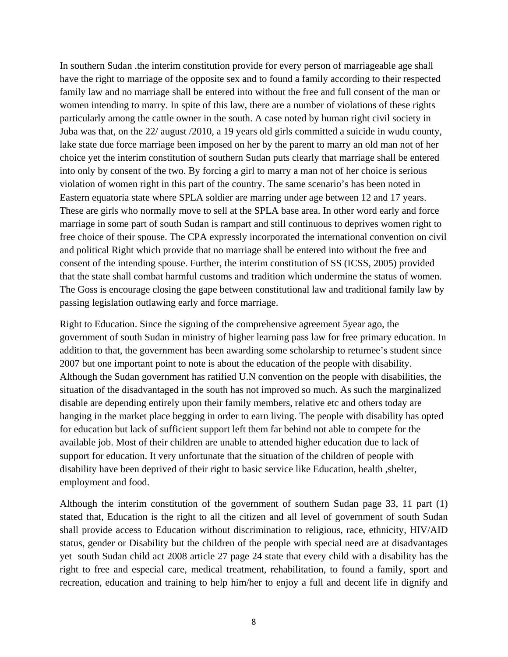In southern Sudan .the interim constitution provide for every person of marriageable age shall have the right to marriage of the opposite sex and to found a family according to their respected family law and no marriage shall be entered into without the free and full consent of the man or women intending to marry. In spite of this law, there are a number of violations of these rights particularly among the cattle owner in the south. A case noted by human right civil society in Juba was that, on the 22/ august /2010, a 19 years old girls committed a suicide in wudu county, lake state due force marriage been imposed on her by the parent to marry an old man not of her choice yet the interim constitution of southern Sudan puts clearly that marriage shall be entered into only by consent of the two. By forcing a girl to marry a man not of her choice is serious violation of women right in this part of the country. The same scenario's has been noted in Eastern equatoria state where SPLA soldier are marring under age between 12 and 17 years. These are girls who normally move to sell at the SPLA base area. In other word early and force marriage in some part of south Sudan is rampart and still continuous to deprives women right to free choice of their spouse. The CPA expressly incorporated the international convention on civil and political Right which provide that no marriage shall be entered into without the free and consent of the intending spouse. Further, the interim constitution of SS (ICSS, 2005) provided that the state shall combat harmful customs and tradition which undermine the status of women. The Goss is encourage closing the gape between constitutional law and traditional family law by passing legislation outlawing early and force marriage.

Right to Education. Since the signing of the comprehensive agreement 5year ago, the government of south Sudan in ministry of higher learning pass law for free primary education. In addition to that, the government has been awarding some scholarship to returnee's student since 2007 but one important point to note is about the education of the people with disability. Although the Sudan government has ratified U.N convention on the people with disabilities, the situation of the disadvantaged in the south has not improved so much. As such the marginalized disable are depending entirely upon their family members, relative etc and others today are hanging in the market place begging in order to earn living. The people with disability has opted for education but lack of sufficient support left them far behind not able to compete for the available job. Most of their children are unable to attended higher education due to lack of support for education. It very unfortunate that the situation of the children of people with disability have been deprived of their right to basic service like Education, health ,shelter, employment and food.

Although the interim constitution of the government of southern Sudan page 33, 11 part (1) stated that, Education is the right to all the citizen and all level of government of south Sudan shall provide access to Education without discrimination to religious, race, ethnicity, HIV/AID status, gender or Disability but the children of the people with special need are at disadvantages yet south Sudan child act 2008 article 27 page 24 state that every child with a disability has the right to free and especial care, medical treatment, rehabilitation, to found a family, sport and recreation, education and training to help him/her to enjoy a full and decent life in dignify and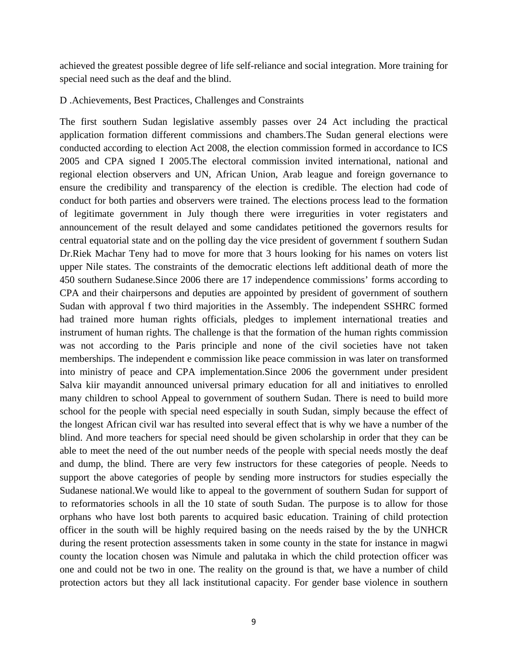achieved the greatest possible degree of life self-reliance and social integration. More training for special need such as the deaf and the blind.

#### D .Achievements, Best Practices, Challenges and Constraints

The first southern Sudan legislative assembly passes over 24 Act including the practical application formation different commissions and chambers.The Sudan general elections were conducted according to election Act 2008, the election commission formed in accordance to ICS 2005 and CPA signed I 2005.The electoral commission invited international, national and regional election observers and UN, African Union, Arab league and foreign governance to ensure the credibility and transparency of the election is credible. The election had code of conduct for both parties and observers were trained. The elections process lead to the formation of legitimate government in July though there were irregurities in voter registaters and announcement of the result delayed and some candidates petitioned the governors results for central equatorial state and on the polling day the vice president of government f southern Sudan Dr.Riek Machar Teny had to move for more that 3 hours looking for his names on voters list upper Nile states. The constraints of the democratic elections left additional death of more the 450 southern Sudanese.Since 2006 there are 17 independence commissions' forms according to CPA and their chairpersons and deputies are appointed by president of government of southern Sudan with approval f two third majorities in the Assembly. The independent SSHRC formed had trained more human rights officials, pledges to implement international treaties and instrument of human rights. The challenge is that the formation of the human rights commission was not according to the Paris principle and none of the civil societies have not taken memberships. The independent e commission like peace commission in was later on transformed into ministry of peace and CPA implementation.Since 2006 the government under president Salva kiir mayandit announced universal primary education for all and initiatives to enrolled many children to school Appeal to government of southern Sudan. There is need to build more school for the people with special need especially in south Sudan, simply because the effect of the longest African civil war has resulted into several effect that is why we have a number of the blind. And more teachers for special need should be given scholarship in order that they can be able to meet the need of the out number needs of the people with special needs mostly the deaf and dump, the blind. There are very few instructors for these categories of people. Needs to support the above categories of people by sending more instructors for studies especially the Sudanese national.We would like to appeal to the government of southern Sudan for support of to reformatories schools in all the 10 state of south Sudan. The purpose is to allow for those orphans who have lost both parents to acquired basic education. Training of child protection officer in the south will be highly required basing on the needs raised by the by the UNHCR during the resent protection assessments taken in some county in the state for instance in magwi county the location chosen was Nimule and palutaka in which the child protection officer was one and could not be two in one. The reality on the ground is that, we have a number of child protection actors but they all lack institutional capacity. For gender base violence in southern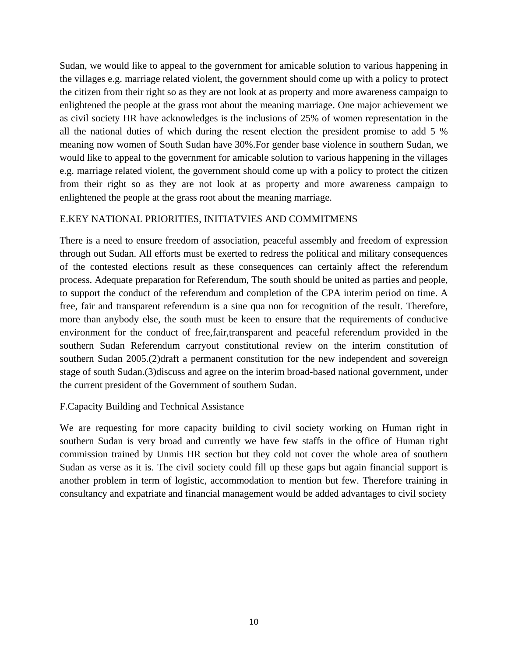Sudan, we would like to appeal to the government for amicable solution to various happening in the villages e.g. marriage related violent, the government should come up with a policy to protect the citizen from their right so as they are not look at as property and more awareness campaign to enlightened the people at the grass root about the meaning marriage. One major achievement we as civil society HR have acknowledges is the inclusions of 25% of women representation in the all the national duties of which during the resent election the president promise to add 5 % meaning now women of South Sudan have 30%.For gender base violence in southern Sudan, we would like to appeal to the government for amicable solution to various happening in the villages e.g. marriage related violent, the government should come up with a policy to protect the citizen from their right so as they are not look at as property and more awareness campaign to enlightened the people at the grass root about the meaning marriage.

# E.KEY NATIONAL PRIORITIES, INITIATVIES AND COMMITMENS

There is a need to ensure freedom of association, peaceful assembly and freedom of expression through out Sudan. All efforts must be exerted to redress the political and military consequences of the contested elections result as these consequences can certainly affect the referendum process. Adequate preparation for Referendum, The south should be united as parties and people, to support the conduct of the referendum and completion of the CPA interim period on time. A free, fair and transparent referendum is a sine qua non for recognition of the result. Therefore, more than anybody else, the south must be keen to ensure that the requirements of conducive environment for the conduct of free,fair,transparent and peaceful referendum provided in the southern Sudan Referendum carryout constitutional review on the interim constitution of southern Sudan 2005.(2)draft a permanent constitution for the new independent and sovereign stage of south Sudan.(3)discuss and agree on the interim broad-based national government, under the current president of the Government of southern Sudan.

## F.Capacity Building and Technical Assistance

We are requesting for more capacity building to civil society working on Human right in southern Sudan is very broad and currently we have few staffs in the office of Human right commission trained by Unmis HR section but they cold not cover the whole area of southern Sudan as verse as it is. The civil society could fill up these gaps but again financial support is another problem in term of logistic, accommodation to mention but few. Therefore training in consultancy and expatriate and financial management would be added advantages to civil society